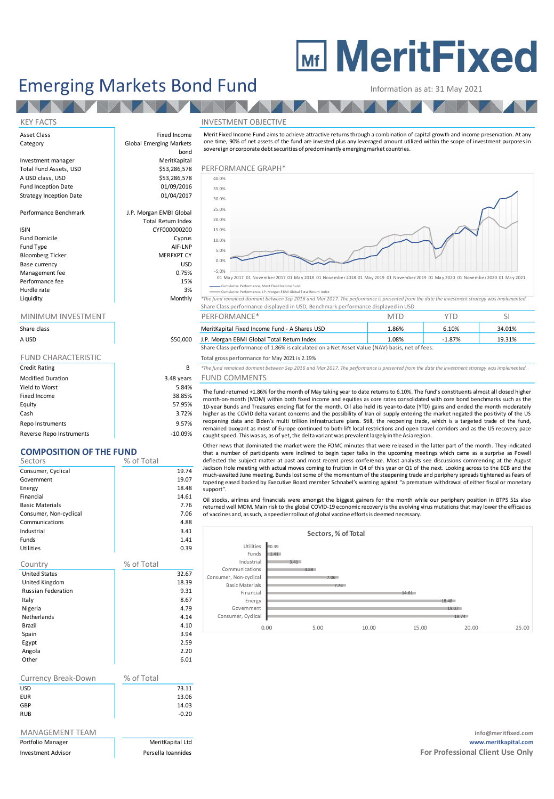# **MEDITE MeritFixed**

## Emerging Markets Bond Fund Information as at: 31 May 2021

bond

Total Return Index

Asset Class **Fixed Income** Category **Global Emerging Markets** 

Investment manager MeritKapital A USD class, USD **A USD Class**, USD Fund Inception Date 01/09/2016 Strategy Inception Date 01/04/2017

Performance Benchmark J.P. Morgan EMBI Global

#### ISIN CYF000000200

Fund Domicile **Cyprus** Fund Type AIF-LNP Bloomberg Ticker MERFXPT CY Base currency USD Management fee between the contraction of the contraction of the contraction of the contraction of the contraction of the contraction of the contraction of the contraction of the contraction of the contraction of the contr Performance fee 15% Hurdle rate and the state of the 3% of the 3% of the 3% of the 3% of the 3% of the 3% of the 3% of the 3% of the 3% of the 3% of the 3% of the 3% of the 3% of the 3% of the 3% of the 3% of the 3% of the 3% of the 3% of the

| Share class                |            |
|----------------------------|------------|
| A USD                      | \$50,000   |
|                            |            |
| <b>FUND CHARACTERISTIC</b> |            |
| <b>Credit Rating</b>       | в          |
| <b>Modified Duration</b>   | 3.48 years |
| Yield to Worst             | 5.84%      |
| Fixed Income               | 38.85%     |
| Equity                     | 57.95%     |
| Cash                       | 3.72%      |

Repo Instruments 8.57% Reverse Repo Instruments and the control of the 10.09%

#### **COMPOSITION OF THE FUND**

| Sectors                   | % of Total |       |
|---------------------------|------------|-------|
| Consumer, Cyclical        |            | 19.74 |
| Government                |            | 19.07 |
| Energy                    |            | 18.48 |
| Financial                 |            | 14.61 |
| <b>Basic Materials</b>    |            | 7.76  |
| Consumer, Non-cyclical    |            | 7.06  |
| Communications            |            | 4.88  |
| Industrial                |            | 3.41  |
| Funds                     |            | 1.41  |
| <b>Utilities</b>          |            | 0.39  |
| Country                   | % of Total |       |
| <b>United States</b>      |            | 32.67 |
| United Kingdom            |            | 18.39 |
| <b>Russian Federation</b> |            | 9.31  |
| Italy                     |            | 8.67  |
| Nigeria                   |            | 4.79  |
| Netherlands               |            | 4.14  |

## Spain 3.94 Egypt 2.59 Angola 2.20 Other 6.01 Currency Break-Down % of Total

Brazil 4.10

| <b>USD</b> | 73.11   |
|------------|---------|
| <b>EUR</b> | 13.06   |
| GBP        | 14.03   |
| <b>RUB</b> | $-0.20$ |
|            |         |

#### KEY FACTS INVESTMENT OBJECTIVE

Merit Fixed Income Fund aims to achieve attractive returns through <sup>a</sup> combination of capital growth and income preservation. A t any one time, 90% of net assets of the fund are invested plus any leveraged amount utilized within the scope of investment purposes in sovereign or corporate debt securities of predominantly emerging market countries.

## Total Fund Assets, USD **\$53,286,578** PERFORMANCE GRAPH



Mer it Fixed Inc

ance, J.P. Morgan EBMI Global Total Return Index<br>And Contract Total Contract Total Post Total Total Total Total Total Total Total Total Total Total Total Total

| Liquidity                 | Monthlv | *The fund remained dormant between Sep 2016 and Mar 2017. The performance is presented from the date the investment strateav was implemented. |  |  |  |
|---------------------------|---------|-----------------------------------------------------------------------------------------------------------------------------------------------|--|--|--|
|                           |         | Share Class performance displayed in USD. Benchmark performance displayed in USD                                                              |  |  |  |
| <b>MINIMUM INVESTMENT</b> |         | PFREORMANCE*                                                                                                                                  |  |  |  |

| Share class | \$50,000                                                                                      | MeritKapital Fixed Income Fund - A Shares USD | .86%  | 6.10% | 34.01% |
|-------------|-----------------------------------------------------------------------------------------------|-----------------------------------------------|-------|-------|--------|
| A USD       |                                                                                               | J.P. Morgan EBMI Global Total Return Index    | 1.08% | 1.87% | 19.31% |
|             | Share Class performance of 1.86% is calculated on a Net Asset Value (NAV) basis, net of fees. |                                               |       |       |        |

#### Total gross performance for May 2021 is 2.19%

B \*The fund remained dormant between Sep 2016 and Mar 2017. The performance is presented from the date the investment strategy was implemented.

### ars FUND COMMENTS

The fund returned +1.86% for the month of May taking year to date returns to 6.10%. The fund's constituents almost all closed higher month-on-month (MOM) within both fixed income and equities as core rates consolidated with core bond benchmarks such as the 10-year Bunds and Treasures ending flat for the month. Oil also held its year-to-date (YTD) gains and ended the month moderately higher as the COVID delta variant concerns and the possibility of Iran oil supply entering the market negated the positivity of the US reopening data and Biden's multi trillion infrastructure plans. Still, the reopening trade, which is a targeted trade of the fund, remained buoyant as most of Europe continued to both lift local restrictions and open travel corridors and as the US recovery pace caught speed. This was as, as of yet, the delta variant was prevalent largely in the Asia region.

Other news that dominated the market were the FOMC minutes that were released in the latter part of the month. They indicated that a number of participants were inclined to begin taper talks in the upcoming meetings which came as a surprise as Powell deflected the subject matter at past and most recent press conference. Most analysts see discussions commencing at the August Jackson Hole meeting with actual moves coming to fruition in Q4 of this year or Q1 of the next. Looking across to the ECB and the much-awaited June meeting, Bunds lost some of the momentum of the steepening trade and periphery spreads tightened as fears of tapering eased backed by Executive Board member Schnabel's warning against "a premature withdrawal of either fiscal or monetary support'

Oil stocks, airlines and financials were amongst the biggest gainers for the month while our periphery position in BTPS 51s also returned well MOM. Main risk to the global COVID-19 economic recovery is the evolving virus mutations that may lower the efficacies of vaccines and, assuch, <sup>a</sup> speedierrollout of global vaccine effortsi s deemed necessary.



### MANAGEMENT TEAM **info@meritfixed.com** Portfolio Manager MeritKapital Ltd **www.meritkapital.com** Investment Advisor **Formulates** Persella Ioannides **Formulates For Professional Client Use Only Formulates For Professional Client Use Only**